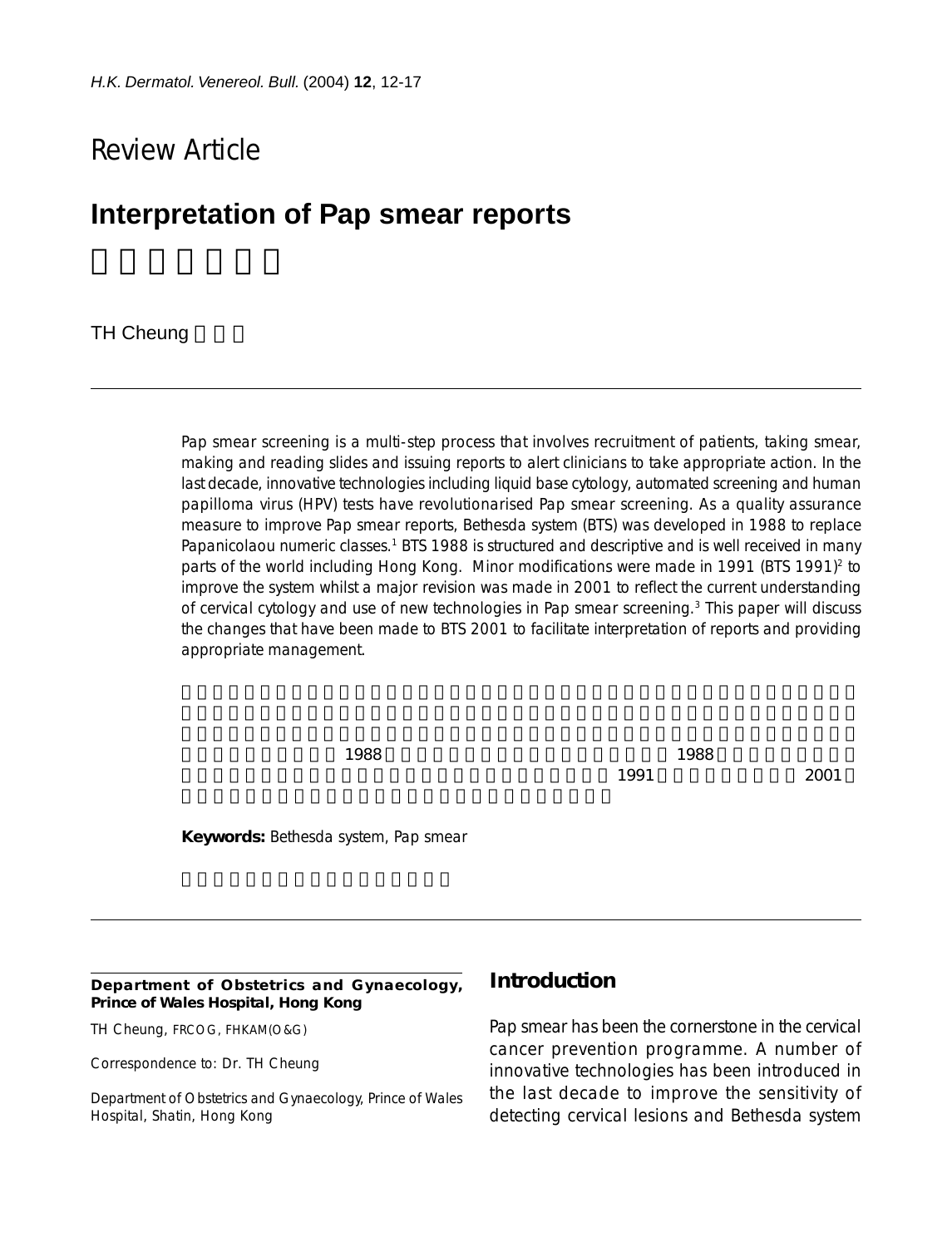# Review Article

# **Interpretation of Pap smear reports**

#### **TH Cheung**

Pap smear screening is a multi-step process that involves recruitment of patients, taking smear, making and reading slides and issuing reports to alert clinicians to take appropriate action. In the last decade, innovative technologies including liquid base cytology, automated screening and human papilloma virus (HPV) tests have revolutionarised Pap smear screening. As a quality assurance measure to improve Pap smear reports, Bethesda system (BTS) was developed in 1988 to replace Papanicolaou numeric classes.<sup>1</sup> BTS 1988 is structured and descriptive and is well received in many parts of the world including Hong Kong. Minor modifications were made in 1991 (BTS 1991)<sup>2</sup> to improve the system whilst a major revision was made in 2001 to reflect the current understanding of cervical cytology and use of new technologies in Pap smear screening.3 This paper will discuss the changes that have been made to BTS 2001 to facilitate interpretation of reports and providing appropriate management.

 $1988$   $1988$  $1991$   $2001$ 

**Keywords:** Bethesda system, Pap smear

**Department of Obstetrics and Gynaecology, Prince of Wales Hospital, Hong Kong**

TH Cheung, FRCOG, FHKAM(O&G)

Correspondence to: Dr. TH Cheung

Department of Obstetrics and Gynaecology, Prince of Wales Hospital, Shatin, Hong Kong

#### **Introduction**

Pap smear has been the cornerstone in the cervical cancer prevention programme. A number of innovative technologies has been introduced in the last decade to improve the sensitivity of detecting cervical lesions and Bethesda system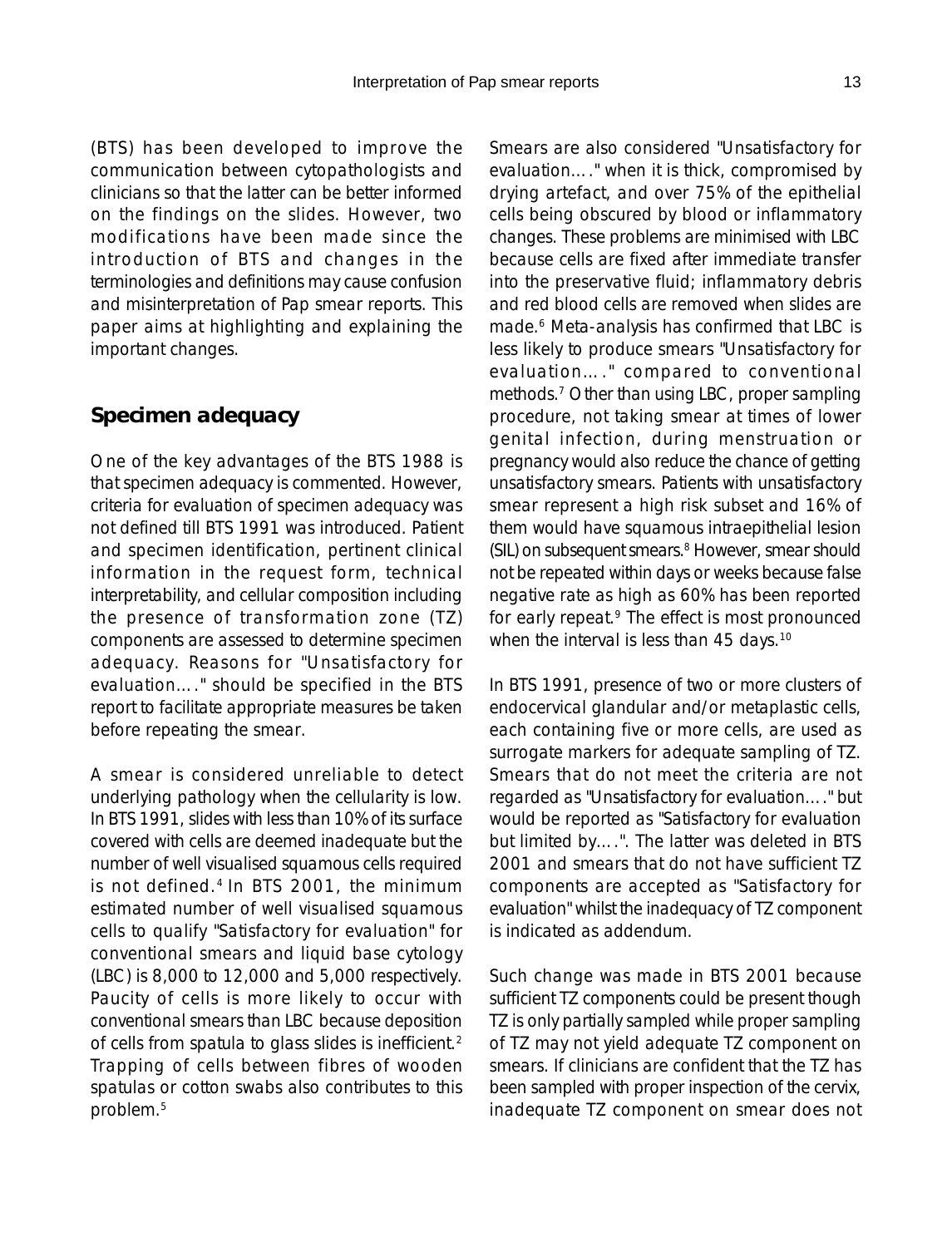(BTS) has been developed to improve the communication between cytopathologists and clinicians so that the latter can be better informed on the findings on the slides. However, two modifications have been made since the introduction of BTS and changes in the terminologies and definitions may cause confusion and misinterpretation of Pap smear reports. This paper aims at highlighting and explaining the important changes.

# **Specimen adequacy**

One of the key advantages of the BTS 1988 is that specimen adequacy is commented. However, criteria for evaluation of specimen adequacy was not defined till BTS 1991 was introduced. Patient and specimen identification, pertinent clinical information in the request form, technical interpretability, and cellular composition including the presence of transformation zone (TZ) components are assessed to determine specimen adequacy. Reasons for "Unsatisfactory for evaluation…." should be specified in the BTS report to facilitate appropriate measures be taken before repeating the smear.

A smear is considered unreliable to detect underlying pathology when the cellularity is low. In BTS 1991, slides with less than 10% of its surface covered with cells are deemed inadequate but the number of well visualised squamous cells required is not defined.4 In BTS 2001, the minimum estimated number of well visualised squamous cells to qualify "Satisfactory for evaluation" for conventional smears and liquid base cytology (LBC) is 8,000 to 12,000 and 5,000 respectively. Paucity of cells is more likely to occur with conventional smears than LBC because deposition of cells from spatula to glass slides is inefficient.2 Trapping of cells between fibres of wooden spatulas or cotton swabs also contributes to this problem.5

Smears are also considered "Unsatisfactory for evaluation…." when it is thick, compromised by drying artefact, and over 75% of the epithelial cells being obscured by blood or inflammatory changes. These problems are minimised with LBC because cells are fixed after immediate transfer into the preservative fluid; inflammatory debris and red blood cells are removed when slides are made.6 Meta-analysis has confirmed that LBC is less likely to produce smears "Unsatisfactory for evaluation…." compared to conventional methods.7 Other than using LBC, proper sampling procedure, not taking smear at times of lower genital infection, during menstruation or pregnancy would also reduce the chance of getting unsatisfactory smears. Patients with unsatisfactory smear represent a high risk subset and 16% of them would have squamous intraepithelial lesion (SIL) on subsequent smears.<sup>8</sup> However, smear should not be repeated within days or weeks because false negative rate as high as 60% has been reported for early repeat.<sup>9</sup> The effect is most pronounced when the interval is less than 45 days.<sup>10</sup>

In BTS 1991, presence of two or more clusters of endocervical glandular and/or metaplastic cells, each containing five or more cells, are used as surrogate markers for adequate sampling of TZ. Smears that do not meet the criteria are not regarded as "Unsatisfactory for evaluation…." but would be reported as "Satisfactory for evaluation but limited by….". The latter was deleted in BTS 2001 and smears that do not have sufficient TZ components are accepted as "Satisfactory for evaluation" whilst the inadequacy of TZ component is indicated as addendum.

Such change was made in BTS 2001 because sufficient TZ components could be present though TZ is only partially sampled while proper sampling of TZ may not yield adequate TZ component on smears. If clinicians are confident that the TZ has been sampled with proper inspection of the cervix, inadequate TZ component on smear does not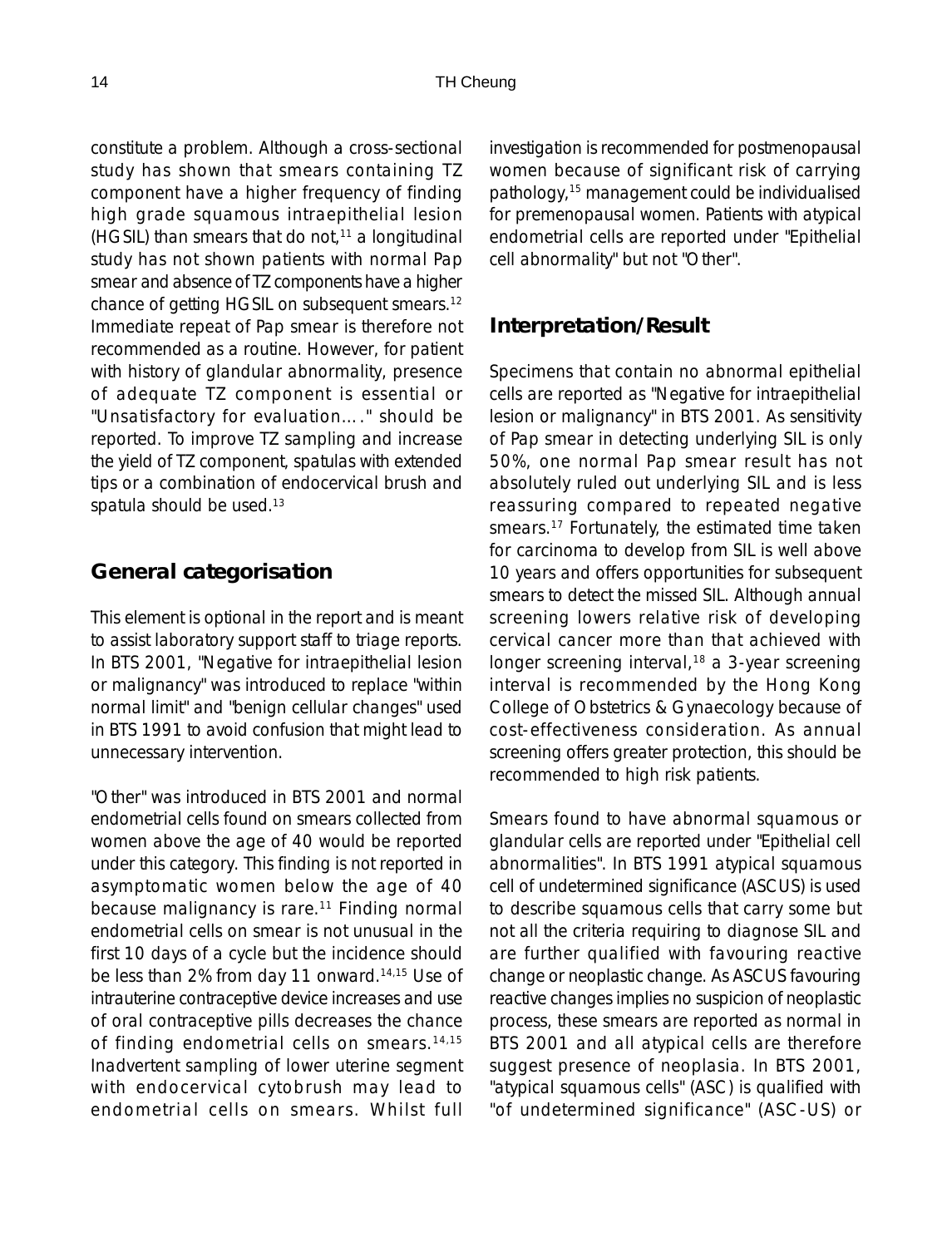constitute a problem. Although a cross-sectional study has shown that smears containing TZ component have a higher frequency of finding high grade squamous intraepithelial lesion (HGSIL) than smears that do not, $11$  a longitudinal study has not shown patients with normal Pap smear and absence of TZ components have a higher chance of getting HGSIL on subsequent smears.12 Immediate repeat of Pap smear is therefore not recommended as a routine. However, for patient with history of glandular abnormality, presence of adequate TZ component is essential or "Unsatisfactory for evaluation…." should be reported. To improve TZ sampling and increase the yield of TZ component, spatulas with extended tips or a combination of endocervical brush and spatula should be used.<sup>13</sup>

### **General categorisation**

This element is optional in the report and is meant to assist laboratory support staff to triage reports. In BTS 2001, "Negative for intraepithelial lesion or malignancy" was introduced to replace "within normal limit" and "benign cellular changes" used in BTS 1991 to avoid confusion that might lead to unnecessary intervention.

"Other" was introduced in BTS 2001 and normal endometrial cells found on smears collected from women above the age of 40 would be reported under this category. This finding is not reported in asymptomatic women below the age of 40 because malignancy is rare.<sup>11</sup> Finding normal endometrial cells on smear is not unusual in the first 10 days of a cycle but the incidence should be less than 2% from day 11 onward.<sup>14,15</sup> Use of intrauterine contraceptive device increases and use of oral contraceptive pills decreases the chance of finding endometrial cells on smears.<sup>14,15</sup> Inadvertent sampling of lower uterine segment with endocervical cytobrush may lead to endometrial cells on smears. Whilst full

investigation is recommended for postmenopausal women because of significant risk of carrying pathology,15 management could be individualised for premenopausal women. Patients with atypical endometrial cells are reported under "Epithelial cell abnormality" but not "Other".

#### **Interpretation/Result**

Specimens that contain no abnormal epithelial cells are reported as "Negative for intraepithelial lesion or malignancy" in BTS 2001. As sensitivity of Pap smear in detecting underlying SIL is only 50%, one normal Pap smear result has not absolutely ruled out underlying SIL and is less reassuring compared to repeated negative smears.<sup>17</sup> Fortunately, the estimated time taken for carcinoma to develop from SIL is well above 10 years and offers opportunities for subsequent smears to detect the missed SIL. Although annual screening lowers relative risk of developing cervical cancer more than that achieved with longer screening interval,<sup>18</sup> a 3-year screening interval is recommended by the Hong Kong College of Obstetrics & Gynaecology because of cost-effectiveness consideration. As annual screening offers greater protection, this should be recommended to high risk patients.

Smears found to have abnormal squamous or glandular cells are reported under "Epithelial cell abnormalities". In BTS 1991 atypical squamous cell of undetermined significance (ASCUS) is used to describe squamous cells that carry some but not all the criteria requiring to diagnose SIL and are further qualified with favouring reactive change or neoplastic change. As ASCUS favouring reactive changes implies no suspicion of neoplastic process, these smears are reported as normal in BTS 2001 and all atypical cells are therefore suggest presence of neoplasia. In BTS 2001, "atypical squamous cells" (ASC) is qualified with "of undetermined significance" (ASC-US) or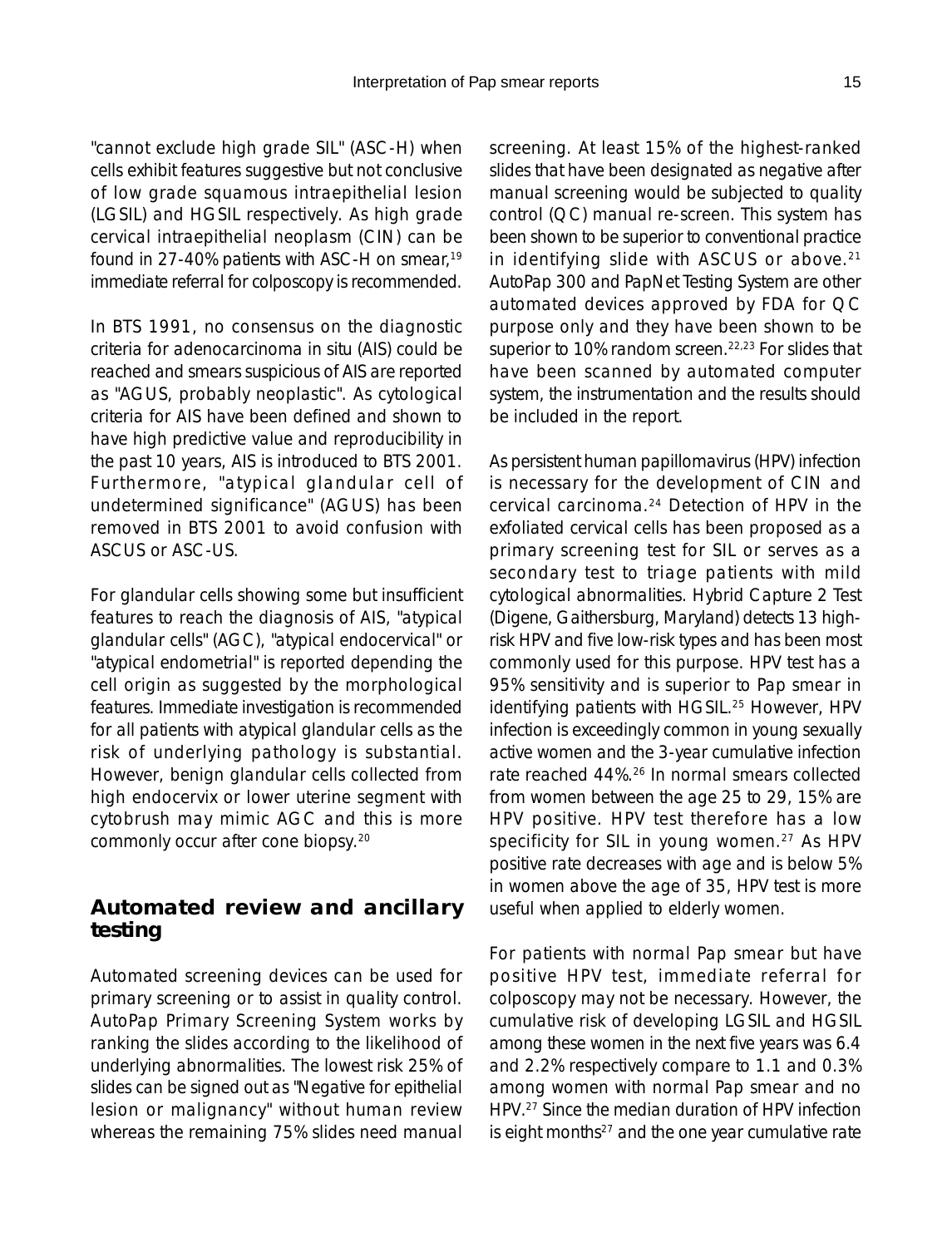"cannot exclude high grade SIL" (ASC-H) when cells exhibit features suggestive but not conclusive of low grade squamous intraepithelial lesion (LGSIL) and HGSIL respectively. As high grade cervical intraepithelial neoplasm (CIN) can be found in 27-40% patients with ASC-H on smear,<sup>19</sup> immediate referral for colposcopy is recommended.

In BTS 1991, no consensus on the diagnostic criteria for adenocarcinoma in situ (AIS) could be reached and smears suspicious of AIS are reported as "AGUS, probably neoplastic". As cytological criteria for AIS have been defined and shown to have high predictive value and reproducibility in the past 10 years, AIS is introduced to BTS 2001. Furthermore, "atypical glandular cell of undetermined significance" (AGUS) has been removed in BTS 2001 to avoid confusion with ASCUS or ASC-US.

For glandular cells showing some but insufficient features to reach the diagnosis of AIS, "atypical glandular cells" (AGC), "atypical endocervical" or "atypical endometrial" is reported depending the cell origin as suggested by the morphological features. Immediate investigation is recommended for all patients with atypical glandular cells as the risk of underlying pathology is substantial. However, benign glandular cells collected from high endocervix or lower uterine segment with cytobrush may mimic AGC and this is more commonly occur after cone biopsy.20

# **Automated review and ancillary testing**

Automated screening devices can be used for primary screening or to assist in quality control. AutoPap Primary Screening System works by ranking the slides according to the likelihood of underlying abnormalities. The lowest risk 25% of slides can be signed out as "Negative for epithelial lesion or malignancy" without human review whereas the remaining 75% slides need manual screening. At least 15% of the highest-ranked slides that have been designated as negative after manual screening would be subjected to quality control (QC) manual re-screen. This system has been shown to be superior to conventional practice in identifying slide with ASCUS or above.<sup>21</sup> AutoPap 300 and PapNet Testing System are other automated devices approved by FDA for QC purpose only and they have been shown to be superior to 10% random screen.<sup>22,23</sup> For slides that have been scanned by automated computer system, the instrumentation and the results should be included in the report.

As persistent human papillomavirus (HPV) infection is necessary for the development of CIN and cervical carcinoma.24 Detection of HPV in the exfoliated cervical cells has been proposed as a primary screening test for SIL or serves as a secondary test to triage patients with mild cytological abnormalities. Hybrid Capture 2 Test (Digene, Gaithersburg, Maryland) detects 13 highrisk HPV and five low-risk types and has been most commonly used for this purpose. HPV test has a 95% sensitivity and is superior to Pap smear in identifying patients with HGSIL.<sup>25</sup> However, HPV infection is exceedingly common in young sexually active women and the 3-year cumulative infection rate reached 44%.26 In normal smears collected from women between the age 25 to 29, 15% are HPV positive. HPV test therefore has a low specificity for SIL in young women.<sup>27</sup> As HPV positive rate decreases with age and is below 5% in women above the age of 35, HPV test is more useful when applied to elderly women.

For patients with normal Pap smear but have positive HPV test, immediate referral for colposcopy may not be necessary. However, the cumulative risk of developing LGSIL and HGSIL among these women in the next five years was 6.4 and 2.2% respectively compare to 1.1 and 0.3% among women with normal Pap smear and no HPV.27 Since the median duration of HPV infection is eight months $27$  and the one year cumulative rate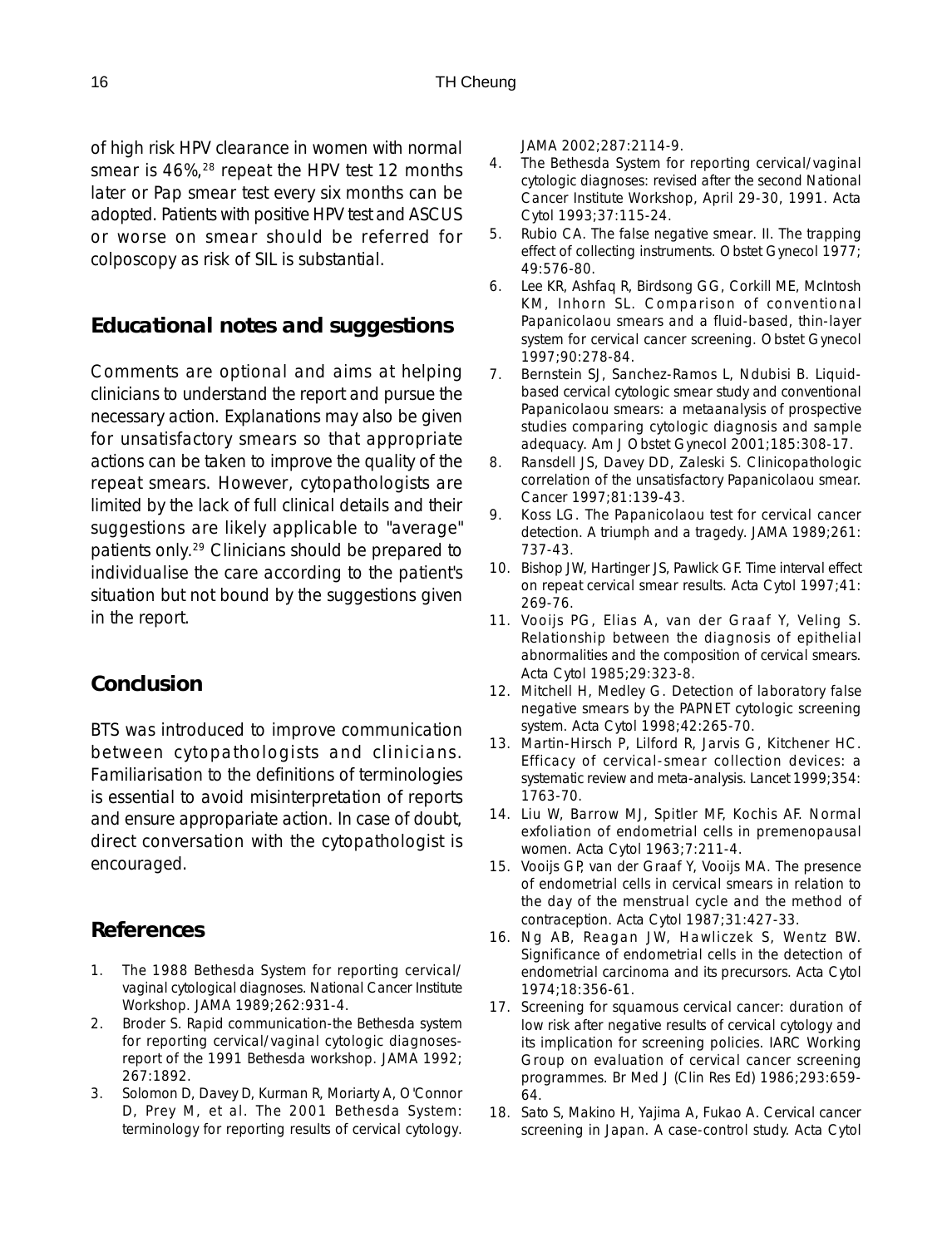of high risk HPV clearance in women with normal smear is 46%,<sup>28</sup> repeat the HPV test 12 months later or Pap smear test every six months can be adopted. Patients with positive HPV test and ASCUS or worse on smear should be referred for colposcopy as risk of SIL is substantial.

# **Educational notes and suggestions**

Comments are optional and aims at helping clinicians to understand the report and pursue the necessary action. Explanations may also be given for unsatisfactory smears so that appropriate actions can be taken to improve the quality of the repeat smears. However, cytopathologists are limited by the lack of full clinical details and their suggestions are likely applicable to "average" patients only.29 Clinicians should be prepared to individualise the care according to the patient's situation but not bound by the suggestions given in the report.

# **Conclusion**

BTS was introduced to improve communication between cytopathologists and clinicians. Familiarisation to the definitions of terminologies is essential to avoid misinterpretation of reports and ensure appropariate action. In case of doubt, direct conversation with the cytopathologist is encouraged.

# **References**

- 1. The 1988 Bethesda System for reporting cervical/ vaginal cytological diagnoses. National Cancer Institute Workshop. JAMA 1989;262:931-4.
- 2. Broder S. Rapid communication-the Bethesda system for reporting cervical/vaginal cytologic diagnosesreport of the 1991 Bethesda workshop. JAMA 1992; 267:1892.
- 3. Solomon D, Davey D, Kurman R, Moriarty A, O'Connor D, Prey M, et al. The 2001 Bethesda System: terminology for reporting results of cervical cytology.

JAMA 2002;287:2114-9.

- 4. The Bethesda System for reporting cervical/vaginal cytologic diagnoses: revised after the second National Cancer Institute Workshop, April 29-30, 1991. Acta Cytol 1993;37:115-24.
- 5. Rubio CA. The false negative smear. II. The trapping effect of collecting instruments. Obstet Gynecol 1977; 49:576-80.
- 6. Lee KR, Ashfaq R, Birdsong GG, Corkill ME, McIntosh KM, Inhorn SL. Comparison of conventional Papanicolaou smears and a fluid-based, thin-layer system for cervical cancer screening. Obstet Gynecol 1997;90:278-84.
- 7. Bernstein SJ, Sanchez-Ramos L, Ndubisi B. Liquidbased cervical cytologic smear study and conventional Papanicolaou smears: a metaanalysis of prospective studies comparing cytologic diagnosis and sample adequacy. Am J Obstet Gynecol 2001;185:308-17.
- 8. Ransdell JS, Davey DD, Zaleski S. Clinicopathologic correlation of the unsatisfactory Papanicolaou smear. Cancer 1997;81:139-43.
- 9. Koss LG. The Papanicolaou test for cervical cancer detection. A triumph and a tragedy. JAMA 1989;261: 737-43.
- 10. Bishop JW, Hartinger JS, Pawlick GF. Time interval effect on repeat cervical smear results. Acta Cytol 1997;41: 269-76.
- 11. Vooijs PG, Elias A, van der Graaf Y, Veling S. Relationship between the diagnosis of epithelial abnormalities and the composition of cervical smears. Acta Cytol 1985;29:323-8.
- 12. Mitchell H, Medley G. Detection of laboratory false negative smears by the PAPNET cytologic screening system. Acta Cytol 1998;42:265-70.
- 13. Martin-Hirsch P, Lilford R, Jarvis G, Kitchener HC. Efficacy of cervical-smear collection devices: a systematic review and meta-analysis. Lancet 1999;354: 1763-70.
- 14. Liu W, Barrow MJ, Spitler MF, Kochis AF. Normal exfoliation of endometrial cells in premenopausal women. Acta Cytol 1963;7:211-4.
- 15. Vooijs GP, van der Graaf Y, Vooijs MA. The presence of endometrial cells in cervical smears in relation to the day of the menstrual cycle and the method of contraception. Acta Cytol 1987;31:427-33.
- 16. Ng AB, Reagan JW, Hawliczek S, Wentz BW. Significance of endometrial cells in the detection of endometrial carcinoma and its precursors. Acta Cytol 1974;18:356-61.
- 17. Screening for squamous cervical cancer: duration of low risk after negative results of cervical cytology and its implication for screening policies. IARC Working Group on evaluation of cervical cancer screening programmes. Br Med J (Clin Res Ed) 1986;293:659- 64.
- 18. Sato S, Makino H, Yajima A, Fukao A. Cervical cancer screening in Japan. A case-control study. Acta Cytol